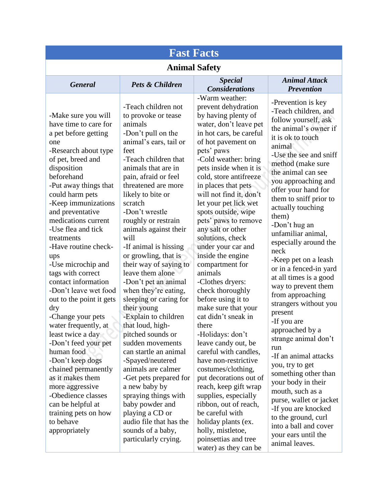| <b>Fast Facts</b>                                                                                                                                                                                                                                                                                                                                                                                                                                                                                                                                                                                                                                                                                                                                               |                                                                                                                                                                                                                                                                                                                                                                                                                                                                                                                                                                                                                                                                                                                                                                                                                                                        |                                                                                                                                                                                                                                                                                                                                                                                                                                                                                                                                                                                                                                                                                                                                                                                                                                                                                                                                          |                                                                                                                                                                                                                                                                                                                                                                                                                                                                                                                                                                                                                                                                                                                                                                                                                                                                    |
|-----------------------------------------------------------------------------------------------------------------------------------------------------------------------------------------------------------------------------------------------------------------------------------------------------------------------------------------------------------------------------------------------------------------------------------------------------------------------------------------------------------------------------------------------------------------------------------------------------------------------------------------------------------------------------------------------------------------------------------------------------------------|--------------------------------------------------------------------------------------------------------------------------------------------------------------------------------------------------------------------------------------------------------------------------------------------------------------------------------------------------------------------------------------------------------------------------------------------------------------------------------------------------------------------------------------------------------------------------------------------------------------------------------------------------------------------------------------------------------------------------------------------------------------------------------------------------------------------------------------------------------|------------------------------------------------------------------------------------------------------------------------------------------------------------------------------------------------------------------------------------------------------------------------------------------------------------------------------------------------------------------------------------------------------------------------------------------------------------------------------------------------------------------------------------------------------------------------------------------------------------------------------------------------------------------------------------------------------------------------------------------------------------------------------------------------------------------------------------------------------------------------------------------------------------------------------------------|--------------------------------------------------------------------------------------------------------------------------------------------------------------------------------------------------------------------------------------------------------------------------------------------------------------------------------------------------------------------------------------------------------------------------------------------------------------------------------------------------------------------------------------------------------------------------------------------------------------------------------------------------------------------------------------------------------------------------------------------------------------------------------------------------------------------------------------------------------------------|
| <b>Animal Safety</b>                                                                                                                                                                                                                                                                                                                                                                                                                                                                                                                                                                                                                                                                                                                                            |                                                                                                                                                                                                                                                                                                                                                                                                                                                                                                                                                                                                                                                                                                                                                                                                                                                        |                                                                                                                                                                                                                                                                                                                                                                                                                                                                                                                                                                                                                                                                                                                                                                                                                                                                                                                                          |                                                                                                                                                                                                                                                                                                                                                                                                                                                                                                                                                                                                                                                                                                                                                                                                                                                                    |
| <b>General</b>                                                                                                                                                                                                                                                                                                                                                                                                                                                                                                                                                                                                                                                                                                                                                  | Pets & Children                                                                                                                                                                                                                                                                                                                                                                                                                                                                                                                                                                                                                                                                                                                                                                                                                                        | <b>Special</b><br><b>Considerations</b>                                                                                                                                                                                                                                                                                                                                                                                                                                                                                                                                                                                                                                                                                                                                                                                                                                                                                                  | <b>Animal Attack</b><br><b>Prevention</b>                                                                                                                                                                                                                                                                                                                                                                                                                                                                                                                                                                                                                                                                                                                                                                                                                          |
| -Make sure you will<br>have time to care for<br>a pet before getting<br>one<br>-Research about type<br>of pet, breed and<br>disposition<br>beforehand<br>-Put away things that<br>could harm pets<br>-Keep immunizations<br>and preventative<br>medications current<br>-Use flea and tick<br>treatments<br>-Have routine check-<br>ups<br>-Use microchip and<br>tags with correct<br>contact information<br>-Don't leave wet food<br>out to the point it gets<br>dry<br>-Change your pets<br>water frequently, at<br>least twice a day<br>-Don't feed your pet<br>human food<br>-Don't keep dogs<br>chained permanently<br>as it makes them<br>more aggressive<br>-Obedience classes<br>can be helpful at<br>training pets on how<br>to behave<br>appropriately | -Teach children not<br>to provoke or tease<br>animals<br>-Don't pull on the<br>animal's ears, tail or<br>feet<br>-Teach children that<br>animals that are in<br>pain, afraid or feel<br>threatened are more<br>likely to bite or<br>scratch<br>-Don't wrestle<br>roughly or restrain<br>animals against their<br>will<br>-If animal is hissing<br>or growling, that is<br>their way of saying to<br>leave them alone<br>-Don't pet an animal<br>when they're eating,<br>sleeping or caring for<br>their young<br>-Explain to children<br>that loud, high-<br>pitched sounds or<br>sudden movements<br>can startle an animal<br>-Spayed/neutered<br>animals are calmer<br>-Get pets prepared for<br>a new baby by<br>spraying things with<br>baby powder and<br>playing a CD or<br>audio file that has the<br>sounds of a baby,<br>particularly crying. | -Warm weather:<br>prevent dehydration<br>by having plenty of<br>water, don't leave pet<br>in hot cars, be careful<br>of hot pavement on<br>pets' paws<br>-Cold weather: bring<br>pets inside when it is<br>cold, store antifreeze<br>in places that pets<br>will not find it, don't<br>let your pet lick wet<br>spots outside, wipe<br>pets' paws to remove<br>any salt or other<br>solutions, check<br>under your car and<br>inside the engine<br>compartment for<br>animals<br>-Clothes dryers:<br>check thoroughly<br>before using it to<br>make sure that your<br>cat didn't sneak in<br>there<br>-Holidays: don't<br>leave candy out, be<br>careful with candles,<br>have non-restrictive<br>costumes/clothing,<br>put decorations out of<br>reach, keep gift wrap<br>supplies, especially<br>ribbon, out of reach,<br>be careful with<br>holiday plants (ex.<br>holly, mistletoe,<br>poinsettias and tree<br>water) as they can be | -Prevention is key<br>-Teach children, and<br>follow yourself, ask<br>the animal's owner if<br>it is ok to touch<br>animal<br>-Use the see and sniff<br>method (make sure<br>the animal can see<br>you approaching and<br>offer your hand for<br>them to sniff prior to<br>actually touching<br>them)<br>-Don't hug an<br>unfamiliar animal,<br>especially around the<br>neck<br>-Keep pet on a leash<br>or in a fenced-in yard<br>at all times is a good<br>way to prevent them<br>from approaching<br>strangers without you<br>present<br>-If you are<br>approached by a<br>strange animal don't<br>run<br>-If an animal attacks<br>you, try to get<br>something other than<br>your body in their<br>mouth, such as a<br>purse, wallet or jacket<br>-If you are knocked<br>to the ground, curl<br>into a ball and cover<br>your ears until the<br>animal leaves. |